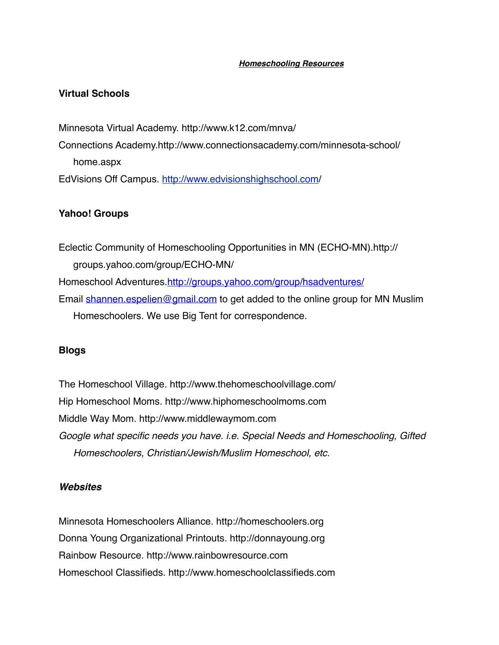#### *Homeschooling Resources*

## **Virtual Schools**

Minnesota Virtual Academy. http://www.k12.com/mnva/ Connections Academy.http://www.connectionsacademy.com/minnesota-school/ home.aspx EdVisions Off Campus. <http://www.edvisionshighschool.com>/

# **Yahoo! Groups**

Eclectic Community of Homeschooling Opportunities in MN (ECHO-MN).http:// groups.yahoo.com/group/ECHO-MN/ Homeschool Adventures[.http://groups.yahoo.com/group/hsadventures/](http://groups.yahoo.com/group/hsadventures/) Email [shannen.espelien@gmail.com](mailto:shannen.espelien@gmail.com) to get added to the online group for MN Muslim Homeschoolers. We use Big Tent for correspondence.

## **Blogs**

The Homeschool Village. http://www.thehomeschoolvillage.com/ Hip Homeschool Moms. http://www.hiphomeschoolmoms.com Middle Way Mom. http://www.middlewaymom.com *Google what specific needs you have. i.e. Special Needs and Homeschooling, Gifted Homeschoolers, Christian/Jewish/Muslim Homeschool, etc.*

#### *Websites*

Minnesota Homeschoolers Alliance. http://homeschoolers.org Donna Young Organizational Printouts. http://donnayoung.org Rainbow Resource. http://www.rainbowresource.com Homeschool Classifieds. http://www.homeschoolclassifieds.com